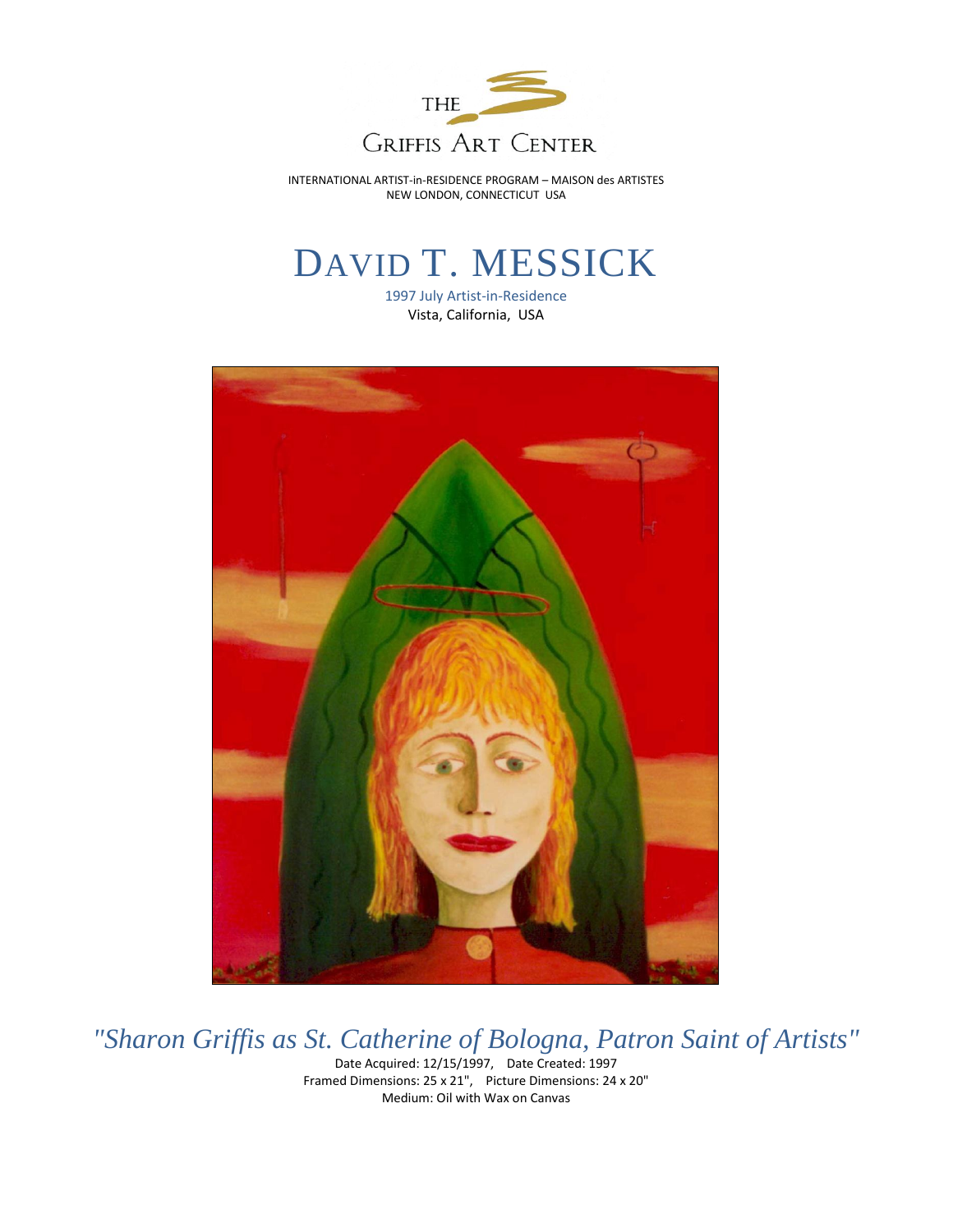

INTERNATIONAL ARTIST-in-RESIDENCE PROGRAM – MAISON des ARTISTES NEW LONDON, CONNECTICUT USA

## DAVID T. MESSICK

1997 July Artist-in-Residence Vista, California, USA



*"Sharon Griffis as St. Catherine of Bologna, Patron Saint of Artists"*

Date Acquired: 12/15/1997, Date Created: 1997 Framed Dimensions: 25 x 21", Picture Dimensions: 24 x 20" Medium: Oil with Wax on Canvas